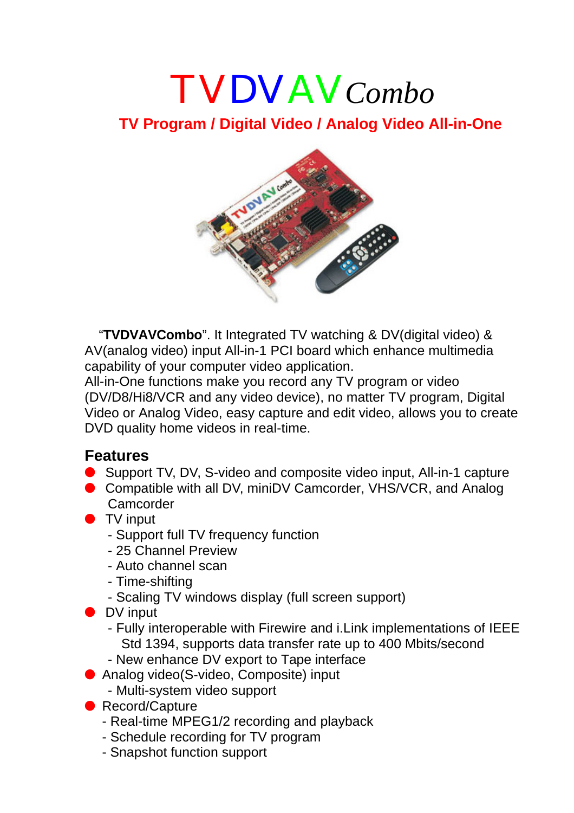# TVDVAV*Combo*

## **TV Program / Digital Video / Analog Video All-in-One**



 "**TVDVAVCombo**". It Integrated TV watching & DV(digital video) & AV(analog video) input All-in-1 PCI board which enhance multimedia capability of your computer video application.

All-in-One functions make you record any TV program or video (DV/D8/Hi8/VCR and any video device), no matter TV program, Digital Video or Analog Video, easy capture and edit video, allows you to create DVD quality home videos in real-time.

#### **Features**

- Support TV, DV, S-video and composite video input, All-in-1 capture
- **Compatible with all DV, miniDV Camcorder, VHS/VCR, and Analog Camcorder**
- $\bullet$  TV input
	- Support full TV frequency function
	- 25 Channel Preview
	- Auto channel scan
	- Time-shifting
	- Scaling TV windows display (full screen support)
- **DV** input
	- Fully interoperable with Firewire and i.Link implementations of IEEE Std 1394, supports data transfer rate up to 400 Mbits/second
	- New enhance DV export to Tape interface
- Analog video(S-video, Composite) input
	- Multi-system video support
- Record/Capture
	- Real-time MPEG1/2 recording and playback
	- Schedule recording for TV program
	- Snapshot function support